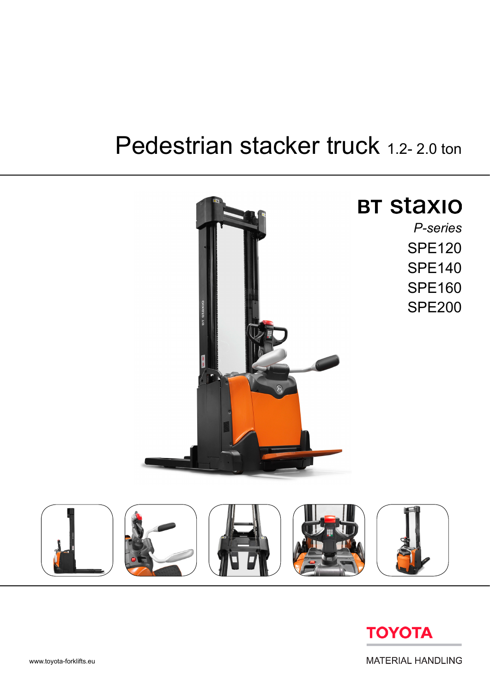# Pedestrian stacker truck 1.2-2.0 ton





**MATERIAL HANDLING**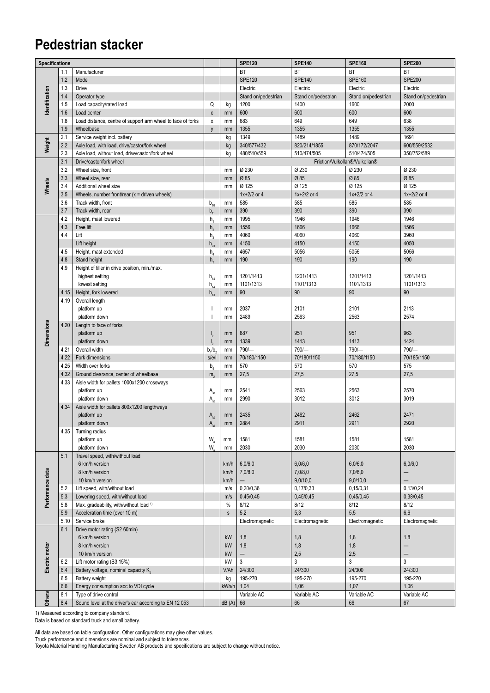### **Pedestrian stacker**

| Specifications    |             |                                                             |                                        |              | <b>SPE120</b>       | <b>SPE140</b>       | <b>SPE160</b>                  | <b>SPE200</b>            |
|-------------------|-------------|-------------------------------------------------------------|----------------------------------------|--------------|---------------------|---------------------|--------------------------------|--------------------------|
|                   | 1.1         | Manufacturer                                                |                                        |              | <b>BT</b>           | BT                  | BT                             | <b>BT</b>                |
|                   | 1.2         | Model                                                       |                                        |              | <b>SPE120</b>       | <b>SPE140</b>       | <b>SPE160</b>                  | <b>SPE200</b>            |
|                   | 1.3         | Drive                                                       |                                        |              | Electric            | Electric            | Electric                       | Electric                 |
|                   | 1.4         | Operator type                                               |                                        |              | Stand on/pedestrian | Stand on/pedestrian | Stand on/pedestrian            | Stand on/pedestrian      |
|                   | 1.5         | Load capacity/rated load                                    | Q                                      | kg           | 1200                | 1400                | 1600                           | 2000                     |
| dentification     | 1.6         | Load center                                                 | $\mathbf{c}$                           | mm           | 600                 | 600                 | 600                            | 600                      |
|                   |             |                                                             |                                        |              | 683                 | 649                 | 649                            | 638                      |
|                   | 1.8         | Load distance, centre of support arm wheel to face of forks | X                                      | mm           |                     |                     |                                |                          |
|                   | 1.9         | Wheelbase                                                   | $\mathsf{v}$                           | mm           | 1355                | 1355                | 1355                           | 1355                     |
|                   | 2.1         | Service weight incl. battery                                |                                        | kg           | 1349                | 1489                | 1489                           | 1691                     |
| Weight            | 2.2         | Axle load, with load, drive/castor/fork wheel               |                                        | kg           | 340/577/432         | 820/214/1855        | 870/172/2047                   | 600/559/2532             |
|                   | 2.3         | Axle load, without load, drive/castor/fork wheel            |                                        | kg           | 480/510/559         | 510/474/505         | 510/474/505                    | 350/752/589              |
|                   | 3.1         | Drive/castor/fork wheel                                     |                                        |              |                     |                     | Friction/Vulkollan®/Vulkollan® |                          |
|                   | 3.2         | Wheel size, front                                           |                                        | mm           | Ø 230               | Ø 230               | Ø 230                          | Ø 230                    |
|                   | 3.3         | Wheel size, rear                                            |                                        | mm           | Ø 85                | Ø 85                | Ø 85                           | Ø 85                     |
| Wheels            | 3.4         | Additional wheel size                                       |                                        | mm           | Ø 125               | Ø 125               | Ø 125                          | Ø 125                    |
|                   | 3.5         | Wheels, number front/rear $(x =$ driven wheels)             |                                        |              | $1x + 2/2$ or 4     | $1x + 2/2$ or 4     | $1x + 2/2$ or 4                | $1x + 2/2$ or 4          |
|                   | 3.6         | Track width, front                                          | $b_{10}$                               | mm           | 585                 | 585                 | 585                            | 585                      |
|                   | 3.7         | Track width, rear                                           | b,                                     | mm           | 390                 | 390                 | 390                            | 390                      |
|                   | 4.2         | Height, mast lowered                                        | h,                                     | mm           | 1995                | 1946                | 1946                           | 1946                     |
|                   | 4.3         | Free lift                                                   | $h_{1}$                                | mm           | 1556                | 1666                | 1666                           | 1566                     |
|                   | 4.4         | Lift                                                        | $h_{\scriptscriptstyle{2}}$            | mm           | 4060                | 4060                | 4060                           | 3960                     |
|                   |             | Lift height                                                 | $h_{23}$                               | mm           | 4150                | 4150                | 4150                           | 4050                     |
|                   | 4.5         | Height, mast extended                                       | $h_a$                                  | mm           | 4657                | 5056                | 5056                           | 5056                     |
|                   | 4.8         | Stand height                                                | h,                                     | mm           | 190                 | 190                 | 190                            | 190                      |
|                   | 4.9         | Height of tiller in drive position, min./max.               |                                        |              |                     |                     |                                |                          |
|                   |             | highest setting                                             | $h_{14}$                               | mm           | 1201/1413           | 1201/1413           | 1201/1413                      | 1201/1413                |
|                   |             | lowest setting                                              |                                        |              | 1101/1313           | 1101/1313           | 1101/1313                      | 1101/1313                |
|                   |             |                                                             | $\mathsf{h}_{\underline{\mathsf{14}}}$ | mm           |                     |                     |                                |                          |
|                   | 4.15        | Height, fork lowered                                        | $h_{13}$                               | mm           | 90                  | 90                  | 90                             | 90                       |
|                   | 4.19        | Overall length                                              |                                        |              |                     |                     |                                |                          |
|                   |             | platform up                                                 |                                        | mm           | 2037                | 2101                | 2101                           | 2113                     |
|                   |             | platform down                                               |                                        | mm           | 2489                | 2563                | 2563                           | 2574                     |
|                   | 4.20        | Length to face of forks                                     |                                        |              |                     |                     |                                |                          |
| <b>Dimensions</b> |             | platform up                                                 | $\mathsf{I}_2$                         | mm           | 887                 | 951                 | 951                            | 963                      |
|                   |             | platform down                                               |                                        | mm           | 1339                | 1413                | 1413                           | 1424                     |
|                   | 4.21        | Overall width                                               | $b_1/b_2$                              | mm           | $790/-$             | 790/-               | $790/-$                        | $790/-$                  |
|                   | 4.22        | Fork dimensions                                             | s/e/l                                  | mm           | 70/180/1150         | 70/180/1150         | 70/180/1150                    | 70/185/1150              |
|                   | 4.25        | Width over forks                                            | b <sub>5</sub>                         | mm           | 570                 | 570                 | 570                            | 575                      |
|                   | 4.32        | Ground clearance, center of wheelbase                       | m <sub>2</sub>                         | mm           | 27,5                | 27,5                | 27,5                           | 27,5                     |
|                   | 4.33        | Aisle width for pallets 1000x1200 crossways                 |                                        |              |                     |                     |                                |                          |
|                   |             | platform up                                                 | $\mathsf{A}_{\mathsf{st}}$             | mm           | 2541                | 2563                | 2563                           | 2570                     |
|                   |             | platform down                                               | $A_{st}$                               | mm           | 2990                | 3012                | 3012                           | 3019                     |
|                   | 4.34        | Aisle width for pallets 800x1200 lengthways                 |                                        |              |                     |                     |                                |                          |
|                   |             | platform up                                                 | $A_{st}$                               | mm           | 2435                | 2462                | 2462                           | 2471                     |
|                   |             | platform down                                               | A <sub>st</sub>                        | mm           | 2884                | 2911                | 2911                           | 2920                     |
|                   | 4.35        | Turning radius                                              |                                        |              |                     |                     |                                |                          |
|                   |             | platform up                                                 | $W_a$                                  | mm           | 1581                | 1581                | 1581                           | 1581                     |
|                   |             | platform down                                               | W.                                     | mm           | 2030                | 2030                | 2030                           | 2030                     |
|                   | 5.1         | Travel speed, with/without load                             |                                        |              |                     |                     |                                |                          |
|                   |             | 6 km/h version                                              |                                        | km/h         | 6,0/6,0             | 6,0/6,0             | 6,0/6,0                        | 6,0/6,0                  |
|                   |             | 8 km/h version                                              |                                        | km/h         | 7,0/8,0             | 7,0/8,0             | 7,0/8,0                        |                          |
|                   |             | 10 km/h version                                             |                                        | km/h         |                     | 9,0/10,0            | 9,0/10,0                       |                          |
|                   | 5.2         | Lift speed, with/without load                               |                                        | m/s          | 0,20/0,36           | 0,17/0,33           | 0.15/0.31                      | 0,13/0,24                |
|                   | 5.3         | Lowering speed, with/without load                           |                                        | m/s          | 0,45/0,45           | 0,45/0,45           | 0,45/0,45                      | 0,38/0,45                |
| Performance data  | 5.8         | Max. gradeability, with/without load 1)                     |                                        | %            | 8/12                | 8/12                | 8/12                           | 8/12                     |
|                   |             | Acceleration time (over 10 m)                               |                                        |              | 5,2                 | 5,3                 | 5,5                            | 6,6                      |
|                   | 5.9<br>5.10 | Service brake                                               |                                        | $\mathsf{s}$ | Electromagnetic     | Electromagnetic     | Electromagnetic                | Electromagnetic          |
|                   |             |                                                             |                                        |              |                     |                     |                                |                          |
|                   | 6.1         | Drive motor rating (S2 60min)                               |                                        |              |                     |                     |                                |                          |
|                   |             | 6 km/h version                                              |                                        | kW           | 1,8                 | 1,8                 | 1,8                            | 1,8                      |
|                   |             | 8 km/h version                                              |                                        | kW           | 1,8                 | 1,8                 | 1,8                            | $\overline{\phantom{0}}$ |
| Electric motor    |             | 10 km/h version                                             |                                        | kW           | -                   | 2,5                 | 2,5                            | $\qquad \qquad -$        |
|                   | 6.2         | Lift motor rating (S3 15%)                                  |                                        | kW           | 3                   | 3                   | 3                              | 3                        |
|                   | 6.4         | Battery voltage, nominal capacity K.                        |                                        | V/Ah         | 24/300              | 24/300              | 24/300                         | 24/300                   |
|                   | 6.5         | Battery weight                                              |                                        | kg           | 195-270             | 195-270             | 195-270                        | 195-270                  |
|                   | 6.6         | Energy consumption acc to VDI cycle                         |                                        | kWh/h        | 1,04                | 1,06                | 1,07                           | 1,06                     |
| <b>Others</b>     | 8.1         | Type of drive control                                       |                                        |              | Variable AC         | Variable AC         | Variable AC                    | Variable AC              |
|                   | 8.4         | Sound level at the driver's ear according to EN 12 053      |                                        | $dB(A)$ 66   |                     | 66                  | 66                             | 67                       |

1) Measured according to company standard.

Data is based on standard truck and small battery.

All data are based on table configuration. Other configurations may give other values.

Truck performance and dimensions are nominal and subject to tolerances.

Toyota Material Handling Manufacturing Sweden AB products and specifications are subject to change without notice.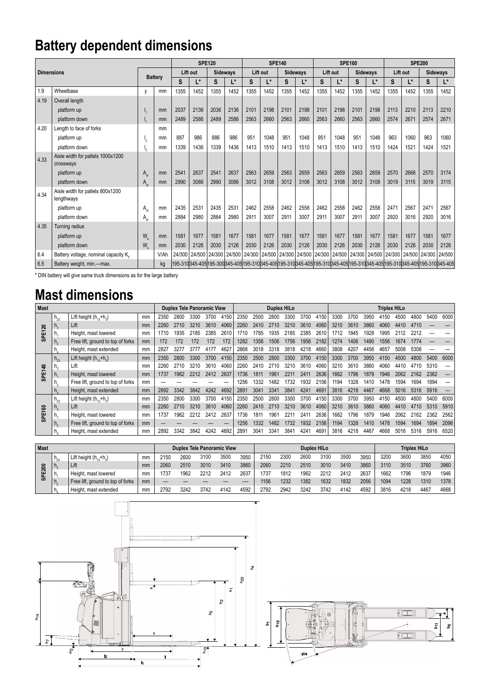## **Battery dependent dimensions**

|                   |                                      |                                 |                | <b>SPE120</b>                                                                                                                                   |          |      |                 | <b>SPE140</b>                     |          |      |                 |          |      | <b>SPE160</b>                                       |        | <b>SPE200</b> |               |                 |        |
|-------------------|--------------------------------------|---------------------------------|----------------|-------------------------------------------------------------------------------------------------------------------------------------------------|----------|------|-----------------|-----------------------------------|----------|------|-----------------|----------|------|-----------------------------------------------------|--------|---------------|---------------|-----------------|--------|
| <b>Dimensions</b> |                                      |                                 |                |                                                                                                                                                 | Lift out |      | <b>Sideways</b> |                                   | Lift out |      | <b>Sideways</b> | Lift out |      | Sideways                                            |        | Lift out      |               | <b>Sideways</b> |        |
|                   |                                      |                                 | <b>Battery</b> |                                                                                                                                                 | Ľ*       | S    | L*              | S                                 | L*       | S    | L*              | S        | L*   | S                                                   | L*     | S             | L*            | S               | L*     |
| 1.9               | Wheelbase                            | $\mathbf{V}$                    | mm             | 1355                                                                                                                                            | 1452     | 1355 | 1452            | 1355                              | 1452     | 1355 | 1452            | 1355     | 1452 | 1355                                                | 1452   | 1355          | 1452          | 1355            | 1452   |
| 4.19              | Overall length                       |                                 |                |                                                                                                                                                 |          |      |                 |                                   |          |      |                 |          |      |                                                     |        |               |               |                 |        |
|                   | platform up                          |                                 | mm             | 2037                                                                                                                                            | 2136     | 2036 | 2136            | 2101                              | 2198     | 2101 | 2198            | 2101     | 2198 | 2101                                                | 2198   | 2113          | 2210          | 2113            | 2210   |
|                   | platform down                        |                                 | mm             | 2489                                                                                                                                            | 2586     | 2489 | 2586            | 2563                              | 2660     | 2563 | 2660            | 2563     | 2660 | 2563                                                | 2660   | 2574          | 2671          | 2574            | 2671   |
| 4.20              | Length to face of forks              |                                 | mm             |                                                                                                                                                 |          |      |                 |                                   |          |      |                 |          |      |                                                     |        |               |               |                 |        |
|                   | platform up                          | ъ,                              | mm             | 887                                                                                                                                             | 986      | 886  | 986             | 951                               | 1048     | 951  | 1048            | 951      | 1048 | 951                                                 | 1048   | 963           | 1060          | 963             | 1060   |
|                   | platform down                        |                                 | mm             | 1339                                                                                                                                            | 1436     | 1339 | 1436            | 1413                              | 1510     | 1413 | 1510            | 1413     | 1510 | 1413                                                | 1510   | 1424          | 1521          | 1424            | 1521   |
| 4.33              | Aisle width for pallets 1000x1200    |                                 |                |                                                                                                                                                 |          |      |                 |                                   |          |      |                 |          |      |                                                     |        |               |               |                 |        |
|                   | crossways                            |                                 |                |                                                                                                                                                 |          |      |                 |                                   |          |      |                 |          |      |                                                     |        |               |               |                 |        |
|                   | platform up                          | $A_{\scriptscriptstyle\alpha}$  | mm             | 2541                                                                                                                                            | 2637     | 2541 | 2637            | 2563                              | 2659     | 2563 | 2659            | 2563     | 2659 | 2563                                                | 2659   | 2570          | 2666          | 2570            | 3174   |
|                   | platform down                        | $A_{\scriptscriptstyle\rm ext}$ | mm             | 2990                                                                                                                                            | 3086     | 2990 | 3086            | 3012                              | 3108     | 3012 | 3108            | 3012     | 3108 | 3012                                                | 3108   | 3019          | 3115          | 3019            | 3115   |
| 4.34              | Aisle width for pallets 800x1200     |                                 |                |                                                                                                                                                 |          |      |                 |                                   |          |      |                 |          |      |                                                     |        |               |               |                 |        |
|                   | lengthways                           |                                 |                |                                                                                                                                                 |          |      |                 |                                   |          |      |                 |          |      |                                                     |        |               |               |                 |        |
|                   | platform up                          | $A_{\scriptscriptstyle\alpha}$  | mm             | 2435                                                                                                                                            | 2531     | 2435 | 2531            | 2462                              | 2558     | 2462 | 2558            | 2462     | 2558 | 2462                                                | 2558   | 2471          | 2567          | 2471            | 2567   |
|                   | platform down                        | $A_{st}$                        | mm             | 2884                                                                                                                                            | 2980     | 2884 | 2980            | 2911                              | 3007     | 2911 | 3007            | 2911     | 3007 | 2911                                                | 3007   | 2920          | 3016          | 2920            | 3016   |
| 4.35              | Turning radius                       |                                 |                |                                                                                                                                                 |          |      |                 |                                   |          |      |                 |          |      |                                                     |        |               |               |                 |        |
|                   | platform up                          | W.                              | mm             | 1581                                                                                                                                            | 1677     | 1581 | 1677            | 1581                              | 1677     | 1581 | 1677            | 1581     | 1677 | 1581                                                | 1677   | 1581          | 1677          | 1581            | 1677   |
|                   | platform down                        | W.                              | mm             | 2030                                                                                                                                            | 2126     | 2030 | 2126            | 2030                              | 2126     | 2030 | 2126            | 2030     | 2126 | 2030                                                | 2126   | 2030          | 2126          | 2030            | 2126   |
| 6.4               | Battery voltage, nominal capacity K. |                                 | V/Ah           | 24/300                                                                                                                                          |          |      |                 | 24/500   24/300   24/500   24/300 |          |      |                 |          |      | 24/500   24/300   24/500   24/300   24/500   24/300 | 24/500 | 24/300        | 24/500 24/300 |                 | 24/500 |
| 6.5               | Battery weight, min.-max.            |                                 | ka             | 195-310 345-405 195-300 345-405 195-310 345-405 195-310 345-405 195-310 345-405 195-310 345-405 195-310 345-405 195-310 345-405 195-310 345-405 |          |      |                 |                                   |          |      |                 |          |      |                                                     |        |               |               |                 |        |

\* DIN battery will give same truck dimensions as for the large battery

#### **Mast dimensions**

| <b>Mast</b>   |                             |                                   |    |      | <b>Duplex Tele Panoramic View</b> |      |      |      |      |      | <b>Duplex HiLo</b> |      |      |      |      |      |      | <b>Triplex HiLo</b> |      |      |      |      |
|---------------|-----------------------------|-----------------------------------|----|------|-----------------------------------|------|------|------|------|------|--------------------|------|------|------|------|------|------|---------------------|------|------|------|------|
|               | $h_{23}$                    | Lift height $(h_{12}+h_{2})$      | mm | 2350 | 2800                              | 3300 | 3700 | 4150 | 2350 | 2500 | 2800               | 3300 | 3700 | 4150 | 3300 | 3700 | 3950 | 4150                | 4500 | 4800 | 5400 | 6000 |
|               | $\Pi_{\alpha}$              | Lift                              | mm | 2260 | 2710                              | 3210 | 3610 | 4060 | 2260 | 2410 | 2710               | 3210 | 3610 | 4060 | 3210 | 3610 | 3860 | 4060                | 4410 | 4710 |      |      |
| <b>SPE120</b> |                             | Height, mast lowered              | mm | 1710 | 1935                              | 2185 | 2385 | 2610 | 1710 | 785  | 1935               | 2185 | 2385 | 2610 | 1712 | 1845 | 1928 | 1995                |      | 2212 |      |      |
|               | $n_{\circ}$                 | Free lift, ground to top of forks | mm | 172  | 172                               | 172  | 172  | 172  | 1282 | 1356 | 1506               | 1756 | 1956 | 2182 | 1274 | 1406 | 1490 | 1556                | 1674 | 1774 |      |      |
|               |                             | Height, mast extended             | mm | 2827 | 3277                              | 3777 | 4177 | 4627 | 2868 | 3018 | 3318               | 3818 | 4218 | 4660 | 3808 | 4207 | 4456 | 4657                | 5008 | 5308 |      |      |
|               | $h_{23}$                    | Lift height $(h_{12}+h_{2})$      | mm | 2350 | 2800                              | 3300 | 3700 | 4150 | 2350 | 2500 | 2800               | 3300 | 3700 | 4150 | 3300 | 3700 | 3950 | 4150                | 4500 | 4800 | 5400 | 6000 |
|               | $\mathsf{\Pi}_{\mathtt{Q}}$ | Lift                              | mm | 2260 | 2710                              | 3210 | 3610 | 4060 | 2260 | 2410 | 2710               | 3210 | 3610 | 4060 | 3210 | 3610 | 3860 | 4060                | 4410 | 4710 | 5310 |      |
| SPE140        | h.                          | Height, mast lowered              | mm | 1737 | 1962                              | 2212 | 2412 | 2637 | 1736 | 1811 | 1961               | 221' | 2411 | 2636 | 1662 | 1796 | 1879 | 1946                | 2062 | 2162 | 2362 |      |
|               |                             | Free lift, ground to top of forks | mm |      |                                   |      |      |      | 1256 | 1332 | 1482               | 732  | 1932 | 2156 | 1194 | 1328 | 1410 | 1478                | 594  | 1694 | 1894 |      |
|               | n.                          | Height, mast extended             | mm | 2892 | 3342                              | 3842 | 4242 | 4692 | 2891 | 3041 | 3341               | 3841 | 4241 | 4691 | 3816 | 4218 | 4467 | 4668                | 5016 | 5316 | 5916 |      |
|               | $h_{23}$                    | Lift height $(h_{12}+h_{2})$      | mm | 2350 | 2800                              | 3300 | 3700 | 4150 | 2350 | 2500 | 2800               | 3300 | 3700 | 4150 | 3300 | 3700 | 3950 | 4150                | 4500 | 4800 | 5400 | 6000 |
|               | $\mathsf{\Pi}_{\mathsf{S}}$ | Lift                              | mm | 2260 | 2710                              | 3210 | 3610 | 4060 | 2260 | 2410 | 2710               | 3210 | 3610 | 4060 | 3210 | 3610 | 3860 | 4060                | 4410 | 4710 | 5310 | 5910 |
| SPE160        | n.                          | Height, mast lowered              | mm | 1737 | 1962                              | 2212 | 2412 | 2637 | 1736 | 181  | 196'               | 221  | 241  | 2636 | 1662 | 796  | 1879 | 1946                | 2062 | 2162 | 2362 | 2562 |
|               | n.                          | Free lift, ground to top of forks | mm |      |                                   |      |      |      | 1256 | 1332 | 1482               | 1732 | 1932 | 2156 | 1194 | 1328 | 1410 | 1478                | 1594 | 1694 | 1894 | 2096 |
|               |                             | Height, mast extended             | mm | 2892 | 3342                              | 3842 | 4242 | 4692 | 289' | 3041 | 3341               | 384  | 4241 | 469  | 3816 | 4218 | 4467 | 4668                | 5016 | 5316 | 5916 | 6520 |

| Mast          |              |                                   |    |      |      | <b>Duplex Tele Panoramic View</b> |      |      | <b>Duplex HiLo</b> | <b>Triplex HiLo</b> |      |      |      |      |      |      |      |      |
|---------------|--------------|-----------------------------------|----|------|------|-----------------------------------|------|------|--------------------|---------------------|------|------|------|------|------|------|------|------|
|               | $n_{23}$     | Lift height $(h_{12}+h_{2})$      | mm | 2150 | 2600 | 3100                              | 3500 | 3950 | 2150               | 2300                | 2600 | 3100 | 3500 | 3950 | 3200 | 3600 | 3850 | 4050 |
|               | $\mathbf{L}$ | Lift                              | mm | 2060 | 2510 | 3010                              | 3410 | 3860 | 2060               | 2210                | 2510 | 3010 | 3410 | 3860 | 3110 | 3510 | 3760 | 3960 |
| <b>SPE200</b> | n.           | Height, mast lowered              | mm | 737  | 1962 | 2212                              | 2412 | 2637 | 737                | 1812                | 1962 | 2212 | 2412 | 2637 | 1662 | 1796 | 1879 | 1946 |
|               |              | Free lift, ground to top of forks | mm |      |      |                                   |      |      | '156               | 1232                | 1382 | 1632 | 1832 | 2056 | 1094 | 1228 | 1310 | 1378 |
|               | n.           | Height, mast extended             | mm | 2792 | 3242 | 3742                              | 4142 | 4592 | 2792               | 2942                | 3242 | 3742 | 4142 | 4592 | 3816 | 4218 | 4467 | 4668 |